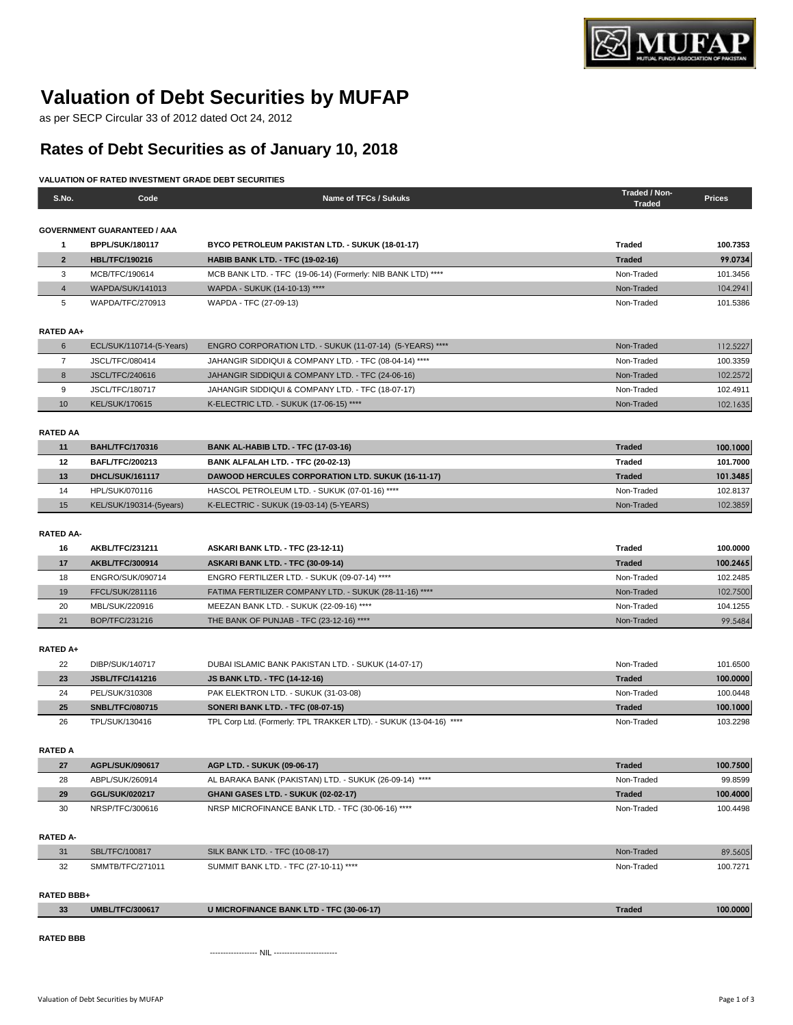

# **Valuation of Debt Securities by MUFAP**

as per SECP Circular 33 of 2012 dated Oct 24, 2012

# **Rates of Debt Securities as of January 10, 2018**

## **VALUATION OF RATED INVESTMENT GRADE DEBT SECURITIES**

| S.No.                 | Code                               | Name of TFCs / Sukuks                                              | Traded / Non-<br><b>Traded</b> | <b>Prices</b> |
|-----------------------|------------------------------------|--------------------------------------------------------------------|--------------------------------|---------------|
|                       |                                    |                                                                    |                                |               |
|                       | <b>GOVERNMENT GUARANTEED / AAA</b> |                                                                    |                                |               |
| 1                     | <b>BPPL/SUK/180117</b>             | BYCO PETROLEUM PAKISTAN LTD. - SUKUK (18-01-17)                    | <b>Traded</b>                  | 100.7353      |
| $\overline{2}$        | <b>HBL/TFC/190216</b>              | <b>HABIB BANK LTD. - TFC (19-02-16)</b>                            | <b>Traded</b>                  | 99.0734       |
| 3                     | MCB/TFC/190614                     | MCB BANK LTD. - TFC (19-06-14) (Formerly: NIB BANK LTD) ****       | Non-Traded                     | 101.3456      |
| $\overline{4}$        | <b>WAPDA/SUK/141013</b>            | WAPDA - SUKUK (14-10-13) ****                                      | Non-Traded                     | 104.2941      |
| 5                     | WAPDA/TFC/270913                   | WAPDA - TFC (27-09-13)                                             | Non-Traded                     | 101.5386      |
| RATED AA+             |                                    |                                                                    |                                |               |
| 6                     | ECL/SUK/110714-(5-Years)           | ENGRO CORPORATION LTD. - SUKUK (11-07-14) (5-YEARS) ****           | Non-Traded                     | 112.5227      |
| $\overline{7}$        | JSCL/TFC/080414                    | JAHANGIR SIDDIQUI & COMPANY LTD. - TFC (08-04-14) ****             | Non-Traded                     | 100.3359      |
| 8                     | <b>JSCL/TFC/240616</b>             | JAHANGIR SIDDIQUI & COMPANY LTD. - TFC (24-06-16)                  | Non-Traded                     | 102.2572      |
| 9                     | <b>JSCL/TFC/180717</b>             | JAHANGIR SIDDIQUI & COMPANY LTD. - TFC (18-07-17)                  | Non-Traded                     | 102.4911      |
| 10                    | <b>KEL/SUK/170615</b>              | K-ELECTRIC LTD. - SUKUK (17-06-15) ****                            | Non-Traded                     | 102.1635      |
|                       |                                    |                                                                    |                                |               |
| <b>RATED AA</b><br>11 | <b>BAHL/TFC/170316</b>             | <b>BANK AL-HABIB LTD. - TFC (17-03-16)</b>                         | <b>Traded</b>                  | 100.1000      |
| 12                    | <b>BAFL/TFC/200213</b>             | BANK ALFALAH LTD. - TFC (20-02-13)                                 | <b>Traded</b>                  | 101.7000      |
| 13                    | DHCL/SUK/161117                    | <b>DAWOOD HERCULES CORPORATION LTD. SUKUK (16-11-17)</b>           | <b>Traded</b>                  | 101.3485      |
| 14                    | <b>HPL/SUK/070116</b>              | HASCOL PETROLEUM LTD. - SUKUK (07-01-16) ****                      | Non-Traded                     | 102.8137      |
| 15                    | KEL/SUK/190314-(5years)            | K-ELECTRIC - SUKUK (19-03-14) (5-YEARS)                            | Non-Traded                     | 102.3859      |
|                       |                                    |                                                                    |                                |               |
| <b>RATED AA-</b>      |                                    |                                                                    |                                |               |
| 16                    | AKBL/TFC/231211                    | ASKARI BANK LTD. - TFC (23-12-11)                                  | <b>Traded</b>                  | 100.0000      |
| 17                    | AKBL/TFC/300914                    | ASKARI BANK LTD. - TFC (30-09-14)                                  | <b>Traded</b>                  | 100.2465      |
| 18                    | ENGRO/SUK/090714                   | ENGRO FERTILIZER LTD. - SUKUK (09-07-14) ****                      | Non-Traded                     | 102.2485      |
| 19                    | FFCL/SUK/281116                    | FATIMA FERTILIZER COMPANY LTD. - SUKUK (28-11-16) ****             | Non-Traded                     | 102.7500      |
| 20                    | MBL/SUK/220916                     | MEEZAN BANK LTD. - SUKUK (22-09-16) ****                           | Non-Traded                     | 104.1255      |
| 21                    | BOP/TFC/231216                     | THE BANK OF PUNJAB - TFC (23-12-16) ****                           | Non-Traded                     | 99.5484       |
| RATED A+              |                                    |                                                                    |                                |               |
| 22                    | DIBP/SUK/140717                    | DUBAI ISLAMIC BANK PAKISTAN LTD. - SUKUK (14-07-17)                | Non-Traded                     | 101.6500      |
| 23                    | <b>JSBL/TFC/141216</b>             | <b>JS BANK LTD. - TFC (14-12-16)</b>                               | <b>Traded</b>                  | 100.0000      |
| 24                    | PEL/SUK/310308                     | PAK ELEKTRON LTD. - SUKUK (31-03-08)                               | Non-Traded                     | 100.0448      |
| 25                    | <b>SNBL/TFC/080715</b>             | <b>SONERI BANK LTD. - TFC (08-07-15)</b>                           | <b>Traded</b>                  | 100.1000      |
| 26                    | TPL/SUK/130416                     | TPL Corp Ltd. (Formerly: TPL TRAKKER LTD). - SUKUK (13-04-16) **** | Non-Traded                     | 103.2298      |
|                       |                                    |                                                                    |                                |               |
| <b>RATED A</b>        |                                    |                                                                    |                                |               |
| 27                    | AGPL/SUK/090617                    | AGP LTD. - SUKUK (09-06-17)                                        | <b>Traded</b>                  | 100.7500      |
| 28                    | ABPL/SUK/260914                    | AL BARAKA BANK (PAKISTAN) LTD. - SUKUK (26-09-14) ****             | Non-Traded                     | 99.8599       |
| 29                    | GGL/SUK/020217                     | GHANI GASES LTD. - SUKUK (02-02-17)                                | <b>Traded</b>                  | 100.4000      |
| 30                    | NRSP/TFC/300616                    | NRSP MICROFINANCE BANK LTD. - TFC (30-06-16) ****                  | Non-Traded                     | 100.4498      |
| <b>RATED A-</b>       |                                    |                                                                    |                                |               |
| 31                    | SBL/TFC/100817                     | <b>SILK BANK LTD. - TFC (10-08-17)</b>                             | Non-Traded                     | 89.5605       |
| 32                    | SMMTB/TFC/271011                   | SUMMIT BANK LTD. - TFC (27-10-11) ****                             | Non-Traded                     | 100.7271      |
|                       |                                    |                                                                    |                                |               |
| RATED BBB+            |                                    |                                                                    |                                |               |
| 33                    | <b>UMBL/TFC/300617</b>             | <b>U MICROFINANCE BANK LTD - TFC (30-06-17)</b>                    | <b>Traded</b>                  | 100.0000      |
| <b>RATED BBB</b>      |                                    |                                                                    |                                |               |
|                       |                                    |                                                                    |                                |               |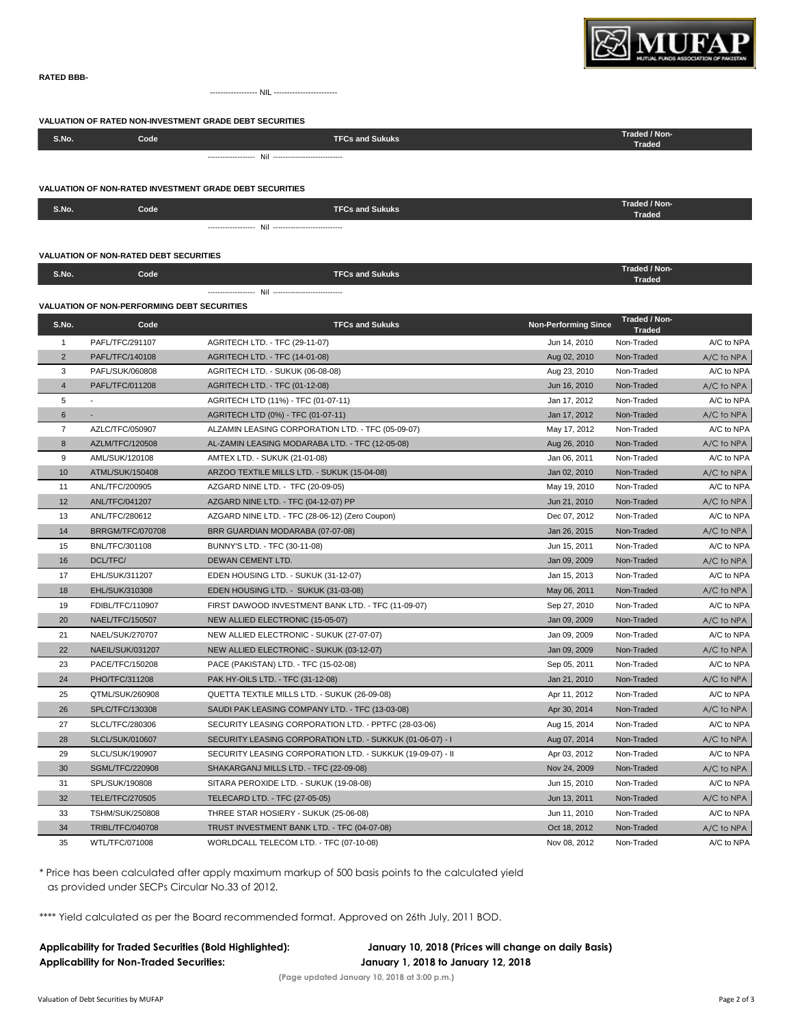

#### **RATED BBB-**

NIL -----------------------

**VALUATION OF RATED NON-INVESTMENT GRADE DEBT SECURITIES**

| S.No. | Code , | <b>TFCs and Sukuks</b> | Traded / Non-<br>Traded |  |
|-------|--------|------------------------|-------------------------|--|
|       |        |                        |                         |  |

### **VALUATION OF NON-RATED INVESTMENT GRADE DEBT SECURITIES**

| S.No. | Code | <b>TFCs and Sukuks</b> | Traded / Non-<br><b>Traded</b> |
|-------|------|------------------------|--------------------------------|
|       |      |                        |                                |

|                | <b>VALUATION OF NON-RATED DEBT SECURITIES</b> |                                                            |                             |                                |            |  |
|----------------|-----------------------------------------------|------------------------------------------------------------|-----------------------------|--------------------------------|------------|--|
| S.No.          | Code                                          | <b>TFCs and Sukuks</b>                                     |                             | Traded / Non-<br><b>Traded</b> |            |  |
|                |                                               |                                                            |                             |                                |            |  |
|                | VALUATION OF NON-PERFORMING DEBT SECURITIES   |                                                            |                             |                                |            |  |
| S.No.          | Code                                          | <b>TFCs and Sukuks</b>                                     | <b>Non-Performing Since</b> | Traded / Non-<br><b>Traded</b> |            |  |
| $\mathbf{1}$   | PAFL/TFC/291107                               | AGRITECH LTD. - TFC (29-11-07)                             | Jun 14, 2010                | Non-Traded                     | A/C to NPA |  |
| $\overline{2}$ | PAFL/TFC/140108                               | <b>AGRITECH LTD. - TFC (14-01-08)</b>                      | Aug 02, 2010                | Non-Traded                     | A/C to NPA |  |
| 3              | PAFL/SUK/060808                               | AGRITECH LTD. - SUKUK (06-08-08)                           | Aug 23, 2010                | Non-Traded                     | A/C to NPA |  |
| $\overline{4}$ | PAFL/TFC/011208                               | AGRITECH LTD. - TFC (01-12-08)                             | Jun 16, 2010                | Non-Traded                     | A/C to NPA |  |
| 5              |                                               | AGRITECH LTD (11%) - TFC (01-07-11)                        | Jan 17, 2012                | Non-Traded                     | A/C to NPA |  |
| 6              |                                               | AGRITECH LTD (0%) - TFC (01-07-11)                         | Jan 17, 2012                | Non-Traded                     | A/C to NPA |  |
| $\overline{7}$ | AZLC/TFC/050907                               | ALZAMIN LEASING CORPORATION LTD. - TFC (05-09-07)          | May 17, 2012                | Non-Traded                     | A/C to NPA |  |
| $\bf 8$        | AZLM/TFC/120508                               | AL-ZAMIN LEASING MODARABA LTD. - TFC (12-05-08)            | Aug 26, 2010                | Non-Traded                     | A/C to NPA |  |
| 9              | AML/SUK/120108                                | AMTEX LTD. - SUKUK (21-01-08)                              | Jan 06, 2011                | Non-Traded                     | A/C to NPA |  |
| 10             | ATML/SUK/150408                               | ARZOO TEXTILE MILLS LTD. - SUKUK (15-04-08)                | Jan 02, 2010                | Non-Traded                     | A/C to NPA |  |
| 11             | ANL/TFC/200905                                | AZGARD NINE LTD. - TFC (20-09-05)                          | May 19, 2010                | Non-Traded                     | A/C to NPA |  |
| 12             | ANL/TFC/041207                                | AZGARD NINE LTD. - TFC (04-12-07) PP                       | Jun 21, 2010                | Non-Traded                     | A/C to NPA |  |
| 13             | ANL/TFC/280612                                | AZGARD NINE LTD. - TFC (28-06-12) (Zero Coupon)            | Dec 07, 2012                | Non-Traded                     | A/C to NPA |  |
| 14             | <b>BRRGM/TFC/070708</b>                       | BRR GUARDIAN MODARABA (07-07-08)                           | Jan 26, 2015                | Non-Traded                     | A/C to NPA |  |
| 15             | BNL/TFC/301108                                | BUNNY'S LTD. - TFC (30-11-08)                              | Jun 15, 2011                | Non-Traded                     | A/C to NPA |  |
| 16             | DCL/TFC/                                      | DEWAN CEMENT LTD.                                          | Jan 09, 2009                | Non-Traded                     | A/C to NPA |  |
| 17             | EHL/SUK/311207                                | EDEN HOUSING LTD. - SUKUK (31-12-07)                       | Jan 15, 2013                | Non-Traded                     | A/C to NPA |  |
| 18             | EHL/SUK/310308                                | EDEN HOUSING LTD. - SUKUK (31-03-08)                       | May 06, 2011                | Non-Traded                     | A/C to NPA |  |
| 19             | FDIBL/TFC/110907                              | FIRST DAWOOD INVESTMENT BANK LTD. - TFC (11-09-07)         | Sep 27, 2010                | Non-Traded                     | A/C to NPA |  |
| 20             | <b>NAEL/TFC/150507</b>                        | NEW ALLIED ELECTRONIC (15-05-07)                           | Jan 09, 2009                | Non-Traded                     | A/C to NPA |  |
| 21             | NAEL/SUK/270707                               | NEW ALLIED ELECTRONIC - SUKUK (27-07-07)                   | Jan 09, 2009                | Non-Traded                     | A/C to NPA |  |
| 22             | NAEIL/SUK/031207                              | NEW ALLIED ELECTRONIC - SUKUK (03-12-07)                   | Jan 09, 2009                | Non-Traded                     | A/C to NPA |  |
| 23             | PACE/TFC/150208                               | PACE (PAKISTAN) LTD. - TFC (15-02-08)                      | Sep 05, 2011                | Non-Traded                     | A/C to NPA |  |
| 24             | PHO/TFC/311208                                | PAK HY-OILS LTD. - TFC (31-12-08)                          | Jan 21, 2010                | Non-Traded                     | A/C to NPA |  |
| 25             | QTML/SUK/260908                               | QUETTA TEXTILE MILLS LTD. - SUKUK (26-09-08)               | Apr 11, 2012                | Non-Traded                     | A/C to NPA |  |
| 26             | SPLC/TFC/130308                               | SAUDI PAK LEASING COMPANY LTD. - TFC (13-03-08)            | Apr 30, 2014                | Non-Traded                     | A/C to NPA |  |
| 27             | SLCL/TFC/280306                               | SECURITY LEASING CORPORATION LTD. - PPTFC (28-03-06)       | Aug 15, 2014                | Non-Traded                     | A/C to NPA |  |
| 28             | <b>SLCL/SUK/010607</b>                        | SECURITY LEASING CORPORATION LTD. - SUKKUK (01-06-07) - I  | Aug 07, 2014                | Non-Traded                     | A/C to NPA |  |
| 29             | SLCL/SUK/190907                               | SECURITY LEASING CORPORATION LTD. - SUKKUK (19-09-07) - II | Apr 03, 2012                | Non-Traded                     | A/C to NPA |  |
| 30             | <b>SGML/TFC/220908</b>                        | SHAKARGANJ MILLS LTD. - TFC (22-09-08)                     | Nov 24, 2009                | Non-Traded                     | A/C to NPA |  |
| 31             | SPL/SUK/190808                                | SITARA PEROXIDE LTD. - SUKUK (19-08-08)                    | Jun 15, 2010                | Non-Traded                     | A/C to NPA |  |
| 32             | TELE/TFC/270505                               | TELECARD LTD. - TFC (27-05-05)                             | Jun 13, 2011                | Non-Traded                     | A/C to NPA |  |
| 33             | <b>TSHM/SUK/250808</b>                        | THREE STAR HOSIERY - SUKUK (25-06-08)                      | Jun 11, 2010                | Non-Traded                     | A/C to NPA |  |

\* Price has been calculated after apply maximum markup of 500 basis points to the calculated yield as provided under SECPs Circular No.33 of 2012.

\*\*\*\* Yield calculated as per the Board recommended format. Approved on 26th July, 2011 BOD.

**Applicability for Non-Traded Securities: January 1, 2018 to January 12, 2018** 

**Applicability for Traded Securities (Bold Highlighted): January 10, 2018 (Prices will change on daily Basis)**

**(Page updated January 10, 2018 at 3:00 p.m.)**

34 TRIBL/TFC/040708 TRUST INVESTMENT BANK LTD. - TFC (04-07-08) Oct 18, 2012 Non-Traded A/C to NPA 35 WTL/TFC/071008 WORLDCALL TELECOM LTD. - TFC (07-10-08) Nov 08, 2012 Non-Traded A/C to NPA